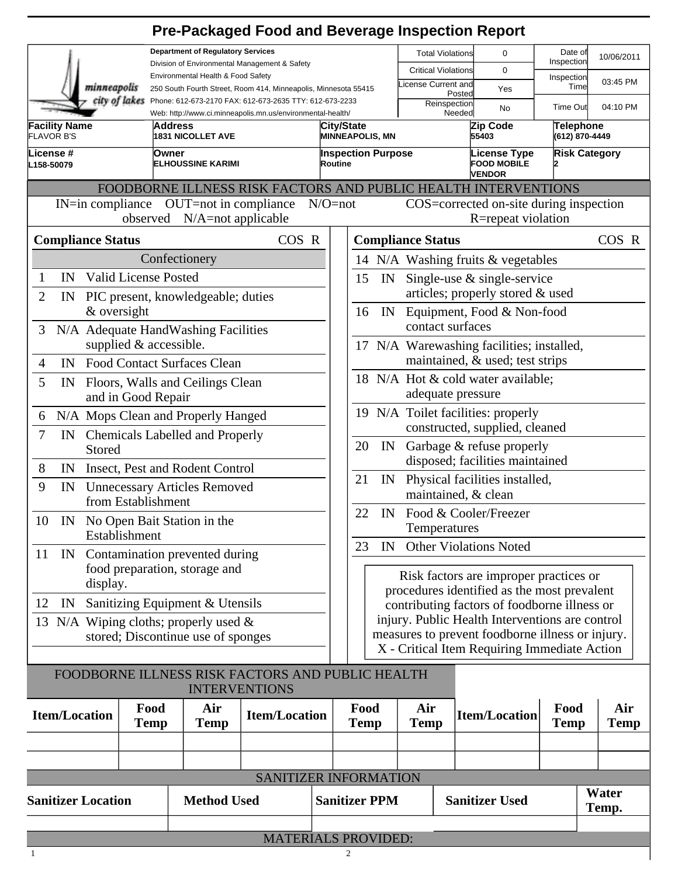|                                                                                                                                        |                                                                                |                    | <b>Pre-Packaged Food and Beverage Inspection Report</b> |         |                                                                                                  |    |                            |                                                            |                     |                                    |  |
|----------------------------------------------------------------------------------------------------------------------------------------|--------------------------------------------------------------------------------|--------------------|---------------------------------------------------------|---------|--------------------------------------------------------------------------------------------------|----|----------------------------|------------------------------------------------------------|---------------------|------------------------------------|--|
| <b>Department of Regulatory Services</b>                                                                                               |                                                                                |                    |                                                         |         |                                                                                                  |    | <b>Total Violations</b>    | 0                                                          | Date of             | 10/06/2011                         |  |
| Division of Environmental Management & Safety<br>Environmental Health & Food Safety                                                    |                                                                                |                    |                                                         |         |                                                                                                  |    | <b>Critical Violations</b> | 0                                                          | Inspection          |                                    |  |
|                                                                                                                                        | minneapolis<br>250 South Fourth Street, Room 414, Minneapolis, Minnesota 55415 |                    |                                                         |         |                                                                                                  |    | icense Current and         | Yes<br>Posted                                              | Inspection<br>Time  | 03:45 PM                           |  |
| city of lakes<br>Phone: 612-673-2170 FAX: 612-673-2635 TTY: 612-673-2233<br>Web: http://www.ci.minneapolis.mn.us/environmental-health/ |                                                                                |                    |                                                         |         |                                                                                                  |    | Reinspection               | No<br>Needed                                               | <b>Time Out</b>     | 04:10 PM                           |  |
| <b>Facility Name</b><br><b>FLAVOR B'S</b>                                                                                              | Address<br><b>1831 NICOLLET AVE</b>                                            |                    |                                                         |         | City/State<br><b>MINNEAPOLIS, MN</b>                                                             |    |                            | Zip Code<br>55403                                          |                     | <b>Telephone</b><br>(612) 870-4449 |  |
| License #<br>L158-50079                                                                                                                | Owner<br><b>ELHOUSSINE KARIMI</b>                                              |                    |                                                         | Routine | <b>Inspection Purpose</b>                                                                        |    |                            | <b>License Type</b><br><b>FOOD MOBILE</b><br><b>VENDOR</b> |                     | <b>Risk Category</b>               |  |
| FOODBORNE ILLNESS RISK FACTORS AND PUBLIC HEALTH INTERVENTIONS                                                                         |                                                                                |                    |                                                         |         |                                                                                                  |    |                            |                                                            |                     |                                    |  |
| IN=in compliance OUT=not in compliance<br>$N/O = not$<br>observed N/A=not applicable                                                   |                                                                                |                    |                                                         |         | COS=corrected on-site during inspection<br>R=repeat violation                                    |    |                            |                                                            |                     |                                    |  |
| <b>Compliance Status</b>                                                                                                               |                                                                                |                    | COS R                                                   |         |                                                                                                  |    | <b>Compliance Status</b>   |                                                            |                     | COS R                              |  |
|                                                                                                                                        | Confectionery                                                                  |                    |                                                         |         | 14 N/A Washing fruits & vegetables                                                               |    |                            |                                                            |                     |                                    |  |
| IN<br>$\mathbf{1}$                                                                                                                     | <b>Valid License Posted</b>                                                    |                    |                                                         |         | Single-use $\&$ single-service<br>15<br>IN                                                       |    |                            |                                                            |                     |                                    |  |
| $\overline{2}$<br>IN                                                                                                                   | PIC present, knowledgeable; duties                                             |                    |                                                         |         |                                                                                                  |    |                            | articles; properly stored & used                           |                     |                                    |  |
|                                                                                                                                        | & oversight                                                                    |                    |                                                         |         | 16                                                                                               | IN |                            | Equipment, Food & Non-food                                 |                     |                                    |  |
| 3                                                                                                                                      | N/A Adequate HandWashing Facilities                                            |                    |                                                         |         |                                                                                                  |    | contact surfaces           |                                                            |                     |                                    |  |
|                                                                                                                                        | supplied & accessible.                                                         |                    |                                                         |         | 17 N/A Warewashing facilities; installed,                                                        |    |                            |                                                            |                     |                                    |  |
| $\overline{4}$<br>IN                                                                                                                   | <b>Food Contact Surfaces Clean</b>                                             |                    |                                                         |         | maintained, & used; test strips                                                                  |    |                            |                                                            |                     |                                    |  |
| 5<br>IN                                                                                                                                | Floors, Walls and Ceilings Clean                                               |                    |                                                         |         | 18 N/A Hot & cold water available;<br>adequate pressure                                          |    |                            |                                                            |                     |                                    |  |
|                                                                                                                                        | and in Good Repair                                                             |                    |                                                         |         | 19 N/A Toilet facilities: properly                                                               |    |                            |                                                            |                     |                                    |  |
| N/A Mops Clean and Properly Hanged<br>6                                                                                                |                                                                                |                    |                                                         |         | constructed, supplied, cleaned                                                                   |    |                            |                                                            |                     |                                    |  |
| 7<br>IN Chemicals Labelled and Properly<br>Stored                                                                                      |                                                                                |                    |                                                         |         | Garbage & refuse properly<br>20<br>IN                                                            |    |                            |                                                            |                     |                                    |  |
| 8                                                                                                                                      | IN Insect, Pest and Rodent Control                                             |                    |                                                         |         | disposed; facilities maintained                                                                  |    |                            |                                                            |                     |                                    |  |
| 9<br><b>Unnecessary Articles Removed</b><br>IN<br>from Establishment                                                                   |                                                                                |                    |                                                         |         | 21<br>Physical facilities installed,<br>IN<br>maintained, & clean                                |    |                            |                                                            |                     |                                    |  |
| 10 IN No Open Bait Station in the                                                                                                      |                                                                                |                    |                                                         |         | 22<br>IN Food & Cooler/Freezer                                                                   |    |                            |                                                            |                     |                                    |  |
| Establishment                                                                                                                          |                                                                                |                    |                                                         |         | Temperatures                                                                                     |    |                            |                                                            |                     |                                    |  |
| 11                                                                                                                                     | IN Contamination prevented during                                              |                    |                                                         |         | <b>Other Violations Noted</b><br>23<br>IN                                                        |    |                            |                                                            |                     |                                    |  |
| food preparation, storage and                                                                                                          |                                                                                |                    |                                                         |         | Risk factors are improper practices or                                                           |    |                            |                                                            |                     |                                    |  |
|                                                                                                                                        | display.                                                                       |                    |                                                         |         | procedures identified as the most prevalent<br>contributing factors of foodborne illness or      |    |                            |                                                            |                     |                                    |  |
| 12<br>IN                                                                                                                               | Sanitizing Equipment & Utensils                                                |                    |                                                         |         |                                                                                                  |    |                            |                                                            |                     |                                    |  |
|                                                                                                                                        | 13 N/A Wiping cloths; properly used $\&$                                       |                    |                                                         |         | injury. Public Health Interventions are control                                                  |    |                            |                                                            |                     |                                    |  |
| stored; Discontinue use of sponges                                                                                                     |                                                                                |                    |                                                         |         | measures to prevent foodborne illness or injury.<br>X - Critical Item Requiring Immediate Action |    |                            |                                                            |                     |                                    |  |
|                                                                                                                                        |                                                                                |                    |                                                         |         |                                                                                                  |    |                            |                                                            |                     |                                    |  |
|                                                                                                                                        | FOODBORNE ILLNESS RISK FACTORS AND PUBLIC HEALTH<br><b>INTERVENTIONS</b>       |                    |                                                         |         |                                                                                                  |    |                            |                                                            |                     |                                    |  |
| <b>Item/Location</b>                                                                                                                   | Food<br><b>Temp</b>                                                            | Air<br><b>Temp</b> | <b>Item/Location</b>                                    |         | Food<br><b>Temp</b>                                                                              |    | Air<br><b>Temp</b>         | <b>Item/Location</b>                                       | Food<br><b>Temp</b> | Air<br><b>Temp</b>                 |  |
|                                                                                                                                        |                                                                                |                    |                                                         |         |                                                                                                  |    |                            |                                                            |                     |                                    |  |
|                                                                                                                                        |                                                                                |                    |                                                         |         |                                                                                                  |    |                            |                                                            |                     |                                    |  |
|                                                                                                                                        |                                                                                |                    | SANITIZER INFORMATION                                   |         |                                                                                                  |    |                            |                                                            |                     |                                    |  |
|                                                                                                                                        |                                                                                |                    |                                                         |         |                                                                                                  |    |                            |                                                            |                     |                                    |  |

| <b>Sanitizer Location</b><br><b>Method Used</b> |  | <b>Sanitizer PPM</b> | <b>Sanitizer Used</b> | Water<br>Temp. |  |  |
|-------------------------------------------------|--|----------------------|-----------------------|----------------|--|--|
|                                                 |  |                      |                       |                |  |  |
| MATERIAI C DROVIDED.                            |  |                      |                       |                |  |  |